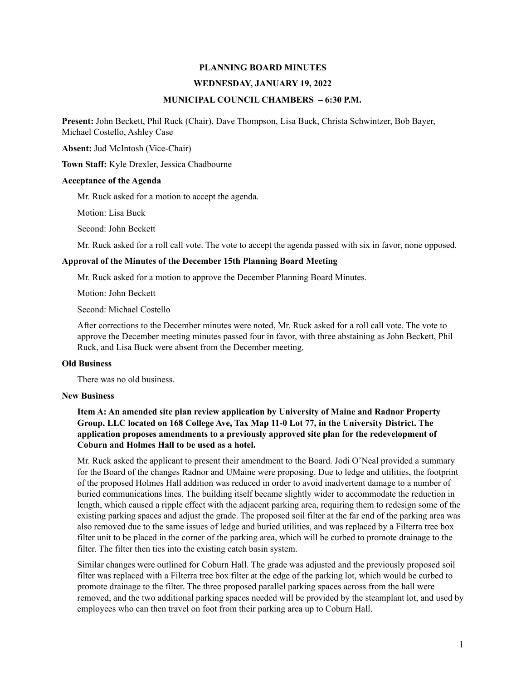# **PLANNING BOARD MINUTES**

#### **WEDNESDAY, JANUARY 19, 2022**

## **MUNICIPAL COUNCIL CHAMBERS – 6:30 P.M.**

**Present:** John Beckett, Phil Ruck (Chair), Dave Thompson, Lisa Buck, Christa Schwintzer, Bob Bayer, Michael Costello, Ashley Case

**Absent:** Jud McIntosh (Vice-Chair)

**Town Staff:** Kyle Drexler, Jessica Chadbourne

### **Acceptance of the Agenda**

Mr. Ruck asked for a motion to accept the agenda.

Motion: Lisa Buck

Second: John Beckett

Mr. Ruck asked for a roll call vote. The vote to accept the agenda passed with six in favor, none opposed.

## **Approval of the Minutes of the December 15th Planning Board Meeting**

Mr. Ruck asked for a motion to approve the December Planning Board Minutes.

Motion: John Beckett

Second: Michael Costello

After corrections to the December minutes were noted, Mr. Ruck asked for a roll call vote. The vote to approve the December meeting minutes passed four in favor, with three abstaining as John Beckett, Phil Ruck, and Lisa Buck were absent from the December meeting.

#### **Old Business**

There was no old business.

#### **New Business**

# **Item A: An amended site plan review application by University of Maine and Radnor Property Group, LLC located on 168 College Ave, Tax Map 11-0 Lot 77, in the University District. The application proposes amendments to a previously approved site plan for the redevelopment of Coburn and Holmes Hall to be used as a hotel.**

Mr. Ruck asked the applicant to present their amendment to the Board. Jodi O'Neal provided a summary for the Board of the changes Radnor and UMaine were proposing. Due to ledge and utilities, the footprint of the proposed Holmes Hall addition was reduced in order to avoid inadvertent damage to a number of buried communications lines. The building itself became slightly wider to accommodate the reduction in length, which caused a ripple effect with the adjacent parking area, requiring them to redesign some of the existing parking spaces and adjust the grade. The proposed soil filter at the far end of the parking area was also removed due to the same issues of ledge and buried utilities, and was replaced by a Filterra tree box filter unit to be placed in the corner of the parking area, which will be curbed to promote drainage to the filter. The filter then ties into the existing catch basin system.

Similar changes were outlined for Coburn Hall. The grade was adjusted and the previously proposed soil filter was replaced with a Filterra tree box filter at the edge of the parking lot, which would be curbed to promote drainage to the filter. The three proposed parallel parking spaces across from the hall were removed, and the two additional parking spaces needed will be provided by the steamplant lot, and used by employees who can then travel on foot from their parking area up to Coburn Hall.